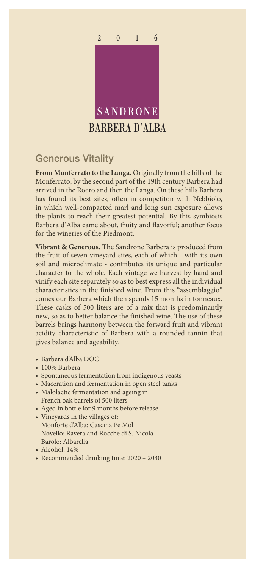

## Generous Vitality

**From Monferrato to the Langa.** Originally from the hills of the Monferrato, by the second part of the 19th century Barbera had arrived in the Roero and then the Langa. On these hills Barbera has found its best sites, often in competiton with Nebbiolo, in which well-compacted marl and long sun exposure allows the plants to reach their greatest potential. By this symbiosis Barbera d'Alba came about, fruity and flavorful; another focus for the wineries of the Piedmont.

**Vibrant & Generous.** The Sandrone Barbera is produced from the fruit of seven vineyard sites, each of which - with its own soil and microclimate - contributes its unique and particular character to the whole. Each vintage we harvest by hand and vinify each site separately so as to best express all the individual characteristics in the finished wine. From this "assemblaggio" comes our Barbera which then spends 15 months in tonneaux. These casks of 500 liters are of a mix that is predominantly new, so as to better balance the finished wine. The use of these barrels brings harmony between the forward fruit and vibrant acidity characteristic of Barbera with a rounded tannin that gives balance and ageability.

- Barbera d'Alba DOC
- 100% Barbera
- Spontaneous fermentation from indigenous yeasts
- Maceration and fermentation in open steel tanks
- Malolactic fermentation and ageing in French oak barrels of 500 liters
- Aged in bottle for 9 months before release
- Vineyards in the villages of: Monforte d'Alba: Cascina Pe Mol Novello: Ravera and Rocche di S. Nicola Barolo: Albarella
- Alcohol: 14%
- Recommended drinking time: 2020 2030